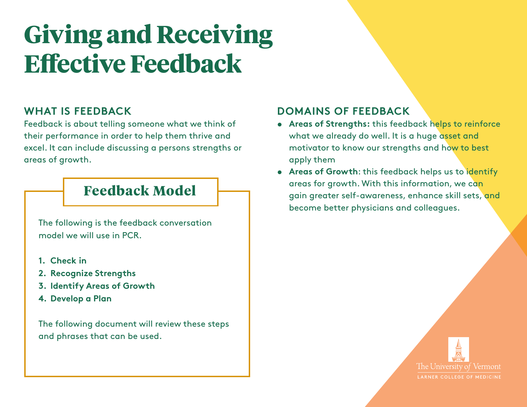# **Giving and Receiving Effective Feedback**

#### **WHAT IS FEEDBACK**

Feedback is about telling someone what we think of their performance in order to help them thrive and excel. It can include discussing a persons strengths or areas of growth.

### **Feedback Model**

The following is the feedback conversation model we will use in PCR.

- **1. Check in**
- **2. Recognize Strengths**
- **3. Identify Areas of Growth**
- **4. Develop a Plan**

The following document will review these steps and phrases that can be used.

### **DOMAINS OF FEEDBACK**

- **• Areas of Strengths:** this feedback helps to reinforce what we already do well. It is a huge asset and motivator to know our strengths and how to best apply them
- **• Areas of Growth**: this feedback helps us to identify areas for growth. With this information, we can gain greater self-awareness, enhance skill sets, and become better physicians and colleagues.

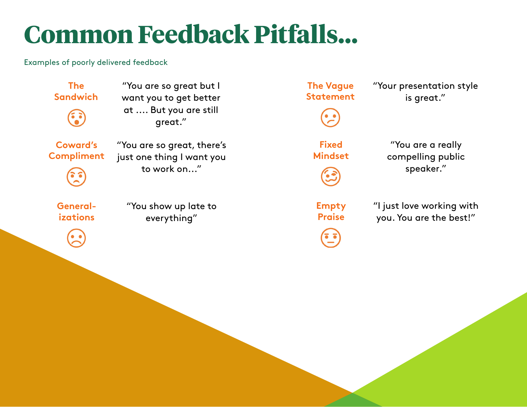# **Common Feedback Pitfalls...**

Examples of poorly delivered feedback

**The Sandwich**

"You are so great but I want you to get better at .... But you are still great."

**Coward's Compliment** "You are so great, there's just one thing I want you to work on..."

**Generalizations**

"You show up late to everything"



"Your presentation style is great."

**Fixed Mindset**

"You are a really compelling public speaker."

**Empty Praise**

"I just love working with you. You are the best!"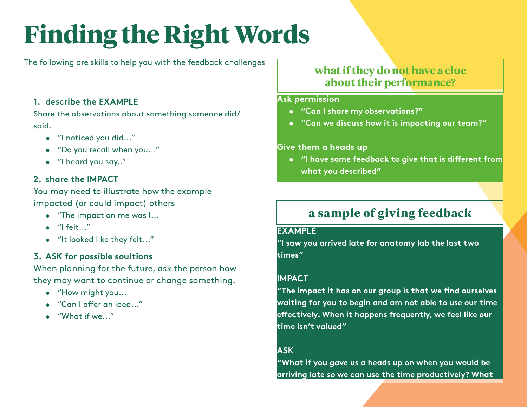# **Finding the Right Words**

The following are skills to help you with the feedback challenges

#### **1. describe the EXAMPLE**

Share the observations about something someone did/ said.

- "I noticed you did..."
- "Do you recall when you..."
- "I heard you say.."

#### **2. share the IMPACT**

You may need to illustrate how the example impacted (or could impact) others

- "The impact on me was I...
- $\bullet$  "I felt..."
- "It looked like they felt..."

#### **3. ASK for possible soultions**

When planning for the future, ask the person how they may want to continue or change something.

- "How might you...
- "Can I offer an idea..."
- "What if we..."

### **what if they do not have a clue about their performance?**

#### **Ask permission**

- **• "Can I share my observations?"**
- **• "Can we discuss how it is impacting our team?"**

#### **Give them a heads up**

**• "I have some feedback to give that is different from what you described"**

### **a sample of giving feedback**

#### **EXAMPLE**

**"I saw you arrived late for anatomy lab the last two times"**

#### **IMPACT**

**"The impact it has on our group is that we find ourselves waiting for you to begin and am not able to use our time effectively. When it happens frequently, we feel like our time isn't valued"**

#### **ASK**

**"What if you gave us a heads up on when you would be arriving late so we can use the time productively? What**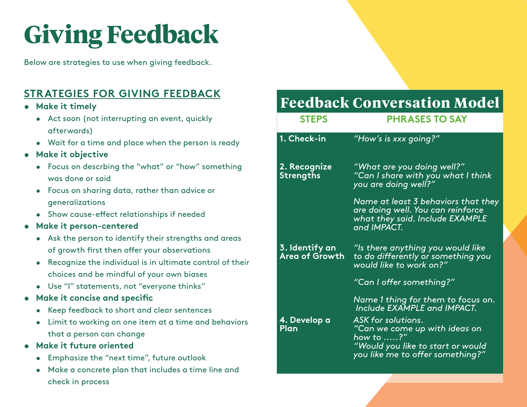# **Giving Feedback**

Below are strategies to use when giving feedback.

### **STRATEGIES FOR GIVING FEEDBACK**

- **• Make it timely**
	- Act soon (not interrupting an event, quickly afterwards)
	- Wait for a time and place when the person is ready
- **• Make it objective**
	- Focus on descrbing the "what" or "how" something was done or said
	- Focus on sharing data, rather than advice or generalizations
	- Show cause-effect relationships if needed
- **• Make it person-centered** 
	- Ask the person to identify their strengths and areas of growth first then offer your observations
	- Recognize the individual is in ultimate control of their choices and be mindful of your own biases
	- Use "I" statements, not "everyone thinks"
- **• Make it concise and specific**
	- Keep feedback to short and clear sentences
	- Limit to working on one item at a time and behaviors that a person can change
- **• Make it future oriented**
	- Emphasize the "next time", future outlook
	- Make a concrete plan that includes a time line and check in process

## **Feedback Conversation Model**

| <b>STEPS</b>                            | <b>PHRASES TO SAY</b>                                                                                                                                                                                                        |
|-----------------------------------------|------------------------------------------------------------------------------------------------------------------------------------------------------------------------------------------------------------------------------|
| 1. Check-in                             | "How's is xxx going?"                                                                                                                                                                                                        |
| 2. Recognize<br><b>Strengths</b>        | "What are you doing well?"<br>"Can I share with you what I think<br>you are doing well?"                                                                                                                                     |
|                                         | Name at least 3 behaviors that they<br>are doing well. You can reinforce<br>what they said. Include EXAMPLE<br>and IMPACT.                                                                                                   |
| 3. Identify an<br><b>Area of Growth</b> | "Is there anything you would like<br>to do differently or something you<br>would like to work on?"                                                                                                                           |
|                                         | "Can I offer something?"                                                                                                                                                                                                     |
| 4. Develop a<br>Plan                    | Name 1 thing for them to focus on.<br><b>Include EXAMPLE and IMPACT.</b><br>ASK for solutions.<br>"Can we come up with ideas on<br>how to ?"<br><u>"Would you like to start or would</u><br>you like me to offer something?" |